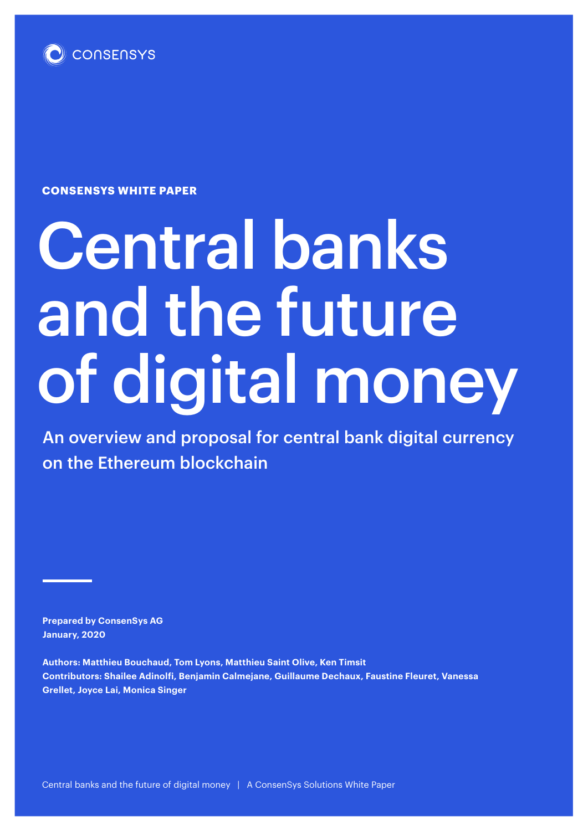

**CONSENSYS WHITE PAPER**

# Central banks and the future of digital money

An overview and proposal for central bank digital currency on the Ethereum blockchain

**Prepared by ConsenSys AG January, 2020**

**Authors: Matthieu Bouchaud, Tom Lyons, Matthieu Saint Olive, Ken Timsit Contributors: Shailee Adinolfi, Benjamin Calmejane, Guillaume Dechaux, Faustine Fleuret, Vanessa Grellet, Joyce Lai, Monica Singer**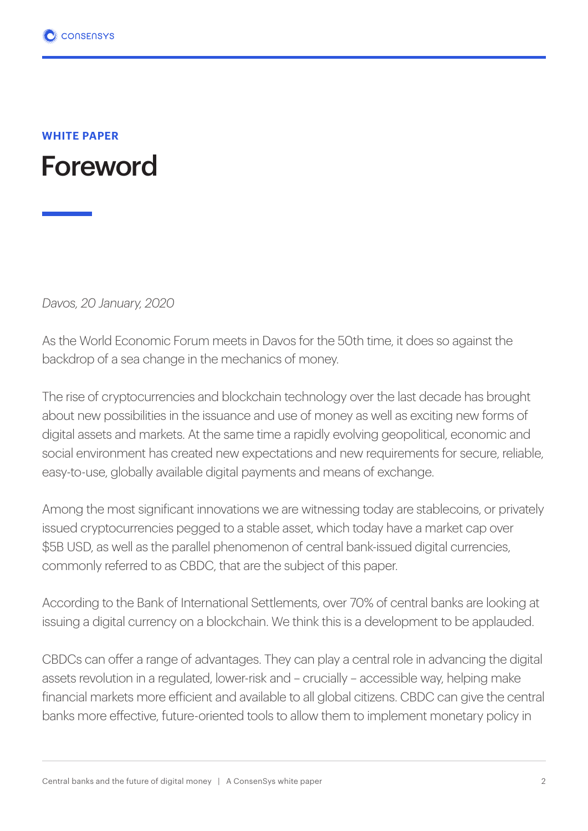

*Davos, 20 January, 2020*

As the World Economic Forum meets in Davos for the 50th time, it does so against the backdrop of a sea change in the mechanics of money.

The rise of cryptocurrencies and blockchain technology over the last decade has brought about new possibilities in the issuance and use of money as well as exciting new forms of digital assets and markets. At the same time a rapidly evolving geopolitical, economic and social environment has created new expectations and new requirements for secure, reliable, easy-to-use, globally available digital payments and means of exchange.

Among the most significant innovations we are witnessing today are stablecoins, or privately issued cryptocurrencies pegged to a stable asset, which today have a market cap over \$5B USD, as well as the parallel phenomenon of central bank-issued digital currencies, commonly referred to as CBDC, that are the subject of this paper.

According to the Bank of International Settlements, over 70% of central banks are looking at issuing a digital currency on a blockchain. We think this is a development to be applauded.

CBDCs can offer a range of advantages. They can play a central role in advancing the digital assets revolution in a regulated, lower-risk and – crucially – accessible way, helping make financial markets more efficient and available to all global citizens. CBDC can give the central banks more effective, future-oriented tools to allow them to implement monetary policy in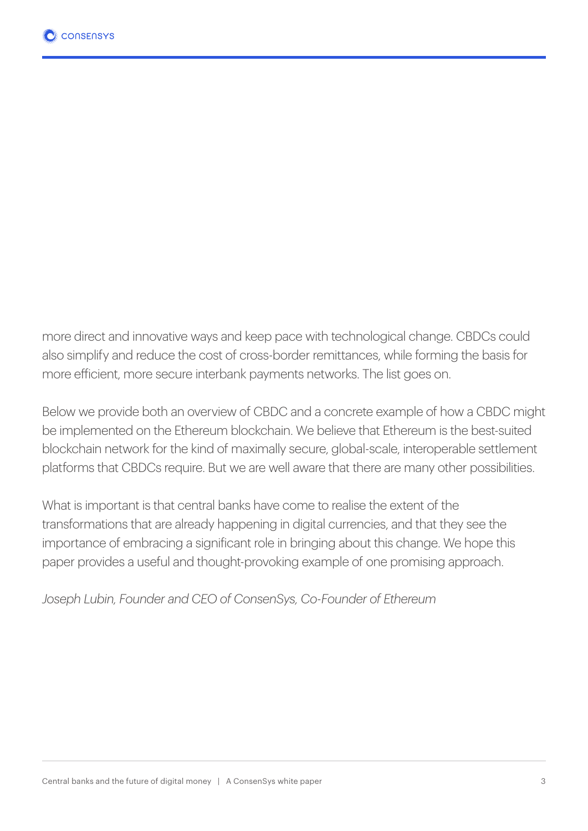more direct and innovative ways and keep pace with technological change. CBDCs could also simplify and reduce the cost of cross-border remittances, while forming the basis for more efficient, more secure interbank payments networks. The list goes on.

Below we provide both an overview of CBDC and a concrete example of how a CBDC might be implemented on the Ethereum blockchain. We believe that Ethereum is the best-suited blockchain network for the kind of maximally secure, global-scale, interoperable settlement platforms that CBDCs require. But we are well aware that there are many other possibilities.

What is important is that central banks have come to realise the extent of the transformations that are already happening in digital currencies, and that they see the importance of embracing a significant role in bringing about this change. We hope this paper provides a useful and thought-provoking example of one promising approach.

*Joseph Lubin, Founder and CEO of ConsenSys, Co-Founder of Ethereum*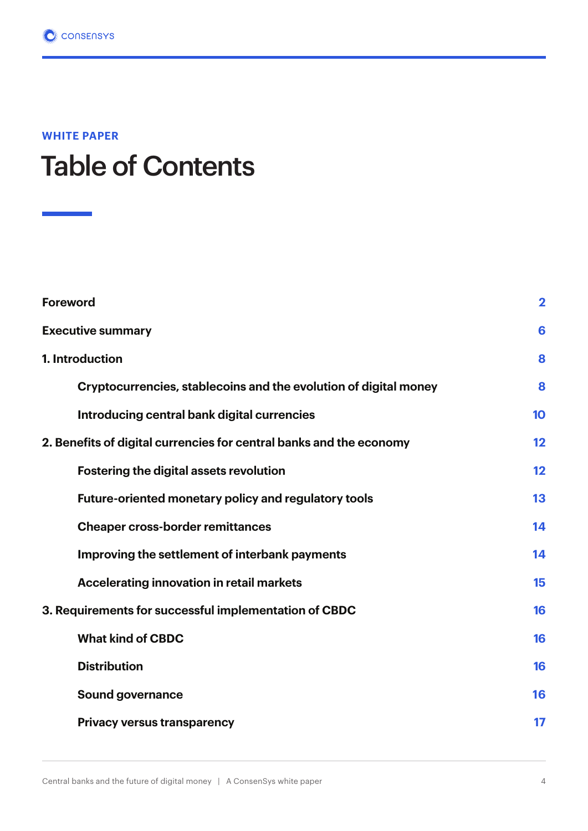### Table of Contents

| <b>Foreword</b>                                                     | $\mathbf 2$ |
|---------------------------------------------------------------------|-------------|
| <b>Executive summary</b>                                            | 6           |
| 1. Introduction                                                     |             |
| Cryptocurrencies, stablecoins and the evolution of digital money    | 8           |
| Introducing central bank digital currencies                         | 10          |
| 2. Benefits of digital currencies for central banks and the economy | 12          |
| <b>Fostering the digital assets revolution</b>                      | 12          |
| <b>Future-oriented monetary policy and regulatory tools</b>         | 13          |
| <b>Cheaper cross-border remittances</b>                             | 14          |
| Improving the settlement of interbank payments                      | 14          |
| Accelerating innovation in retail markets                           | 15          |
| 3. Requirements for successful implementation of CBDC               | 16          |
| <b>What kind of CBDC</b>                                            | 16          |
| <b>Distribution</b>                                                 | 16          |
| <b>Sound governance</b>                                             | 16          |
| <b>Privacy versus transparency</b>                                  | 17          |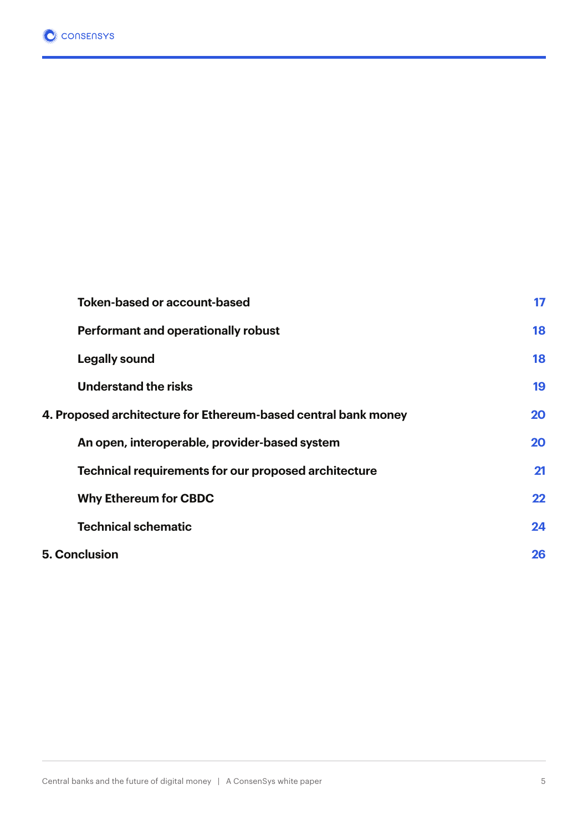|                      | <b>Token-based or account-based</b>                            | 17 |
|----------------------|----------------------------------------------------------------|----|
|                      | <b>Performant and operationally robust</b>                     | 18 |
|                      | <b>Legally sound</b>                                           | 18 |
|                      | <b>Understand the risks</b>                                    | 19 |
|                      | 4. Proposed architecture for Ethereum-based central bank money | 20 |
|                      | An open, interoperable, provider-based system                  | 20 |
|                      | Technical requirements for our proposed architecture           | 21 |
|                      | <b>Why Ethereum for CBDC</b>                                   | 22 |
|                      | <b>Technical schematic</b>                                     | 24 |
| <b>5. Conclusion</b> |                                                                | 26 |
|                      |                                                                |    |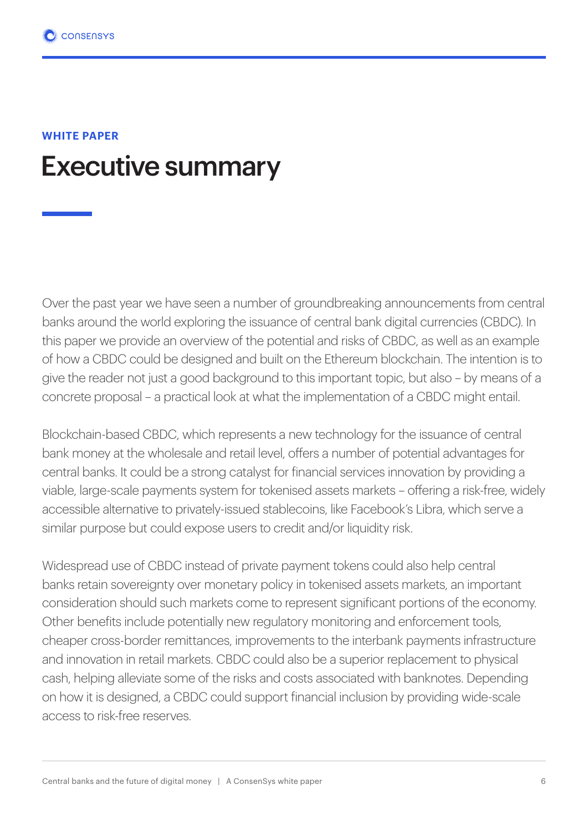### Executive summary

Over the past year we have seen a number of groundbreaking announcements from central banks around the world exploring the issuance of central bank digital currencies (CBDC). In this paper we provide an overview of the potential and risks of CBDC, as well as an example of how a CBDC could be designed and built on the Ethereum blockchain. The intention is to give the reader not just a good background to this important topic, but also – by means of a concrete proposal – a practical look at what the implementation of a CBDC might entail.

Blockchain-based CBDC, which represents a new technology for the issuance of central bank money at the wholesale and retail level, offers a number of potential advantages for central banks. It could be a strong catalyst for financial services innovation by providing a viable, large-scale payments system for tokenised assets markets – offering a risk-free, widely accessible alternative to privately-issued stablecoins, like Facebook's Libra, which serve a similar purpose but could expose users to credit and/or liquidity risk.

Widespread use of CBDC instead of private payment tokens could also help central banks retain sovereignty over monetary policy in tokenised assets markets, an important consideration should such markets come to represent significant portions of the economy. Other benefits include potentially new regulatory monitoring and enforcement tools, cheaper cross-border remittances, improvements to the interbank payments infrastructure and innovation in retail markets. CBDC could also be a superior replacement to physical cash, helping alleviate some of the risks and costs associated with banknotes. Depending on how it is designed, a CBDC could support financial inclusion by providing wide-scale access to risk-free reserves.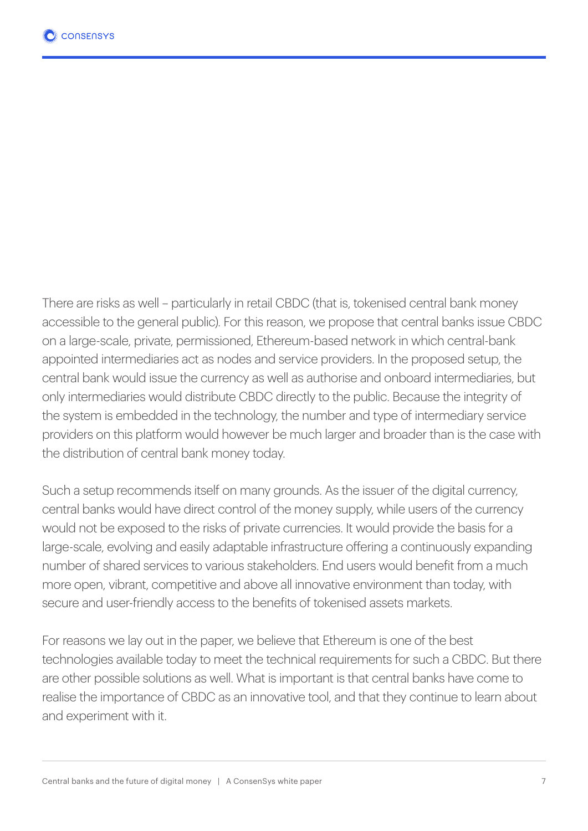There are risks as well – particularly in retail CBDC (that is, tokenised central bank money accessible to the general public). For this reason, we propose that central banks issue CBDC on a large-scale, private, permissioned, Ethereum-based network in which central-bank appointed intermediaries act as nodes and service providers. In the proposed setup, the central bank would issue the currency as well as authorise and onboard intermediaries, but only intermediaries would distribute CBDC directly to the public. Because the integrity of the system is embedded in the technology, the number and type of intermediary service providers on this platform would however be much larger and broader than is the case with the distribution of central bank money today.

Such a setup recommends itself on many grounds. As the issuer of the digital currency, central banks would have direct control of the money supply, while users of the currency would not be exposed to the risks of private currencies. It would provide the basis for a large-scale, evolving and easily adaptable infrastructure offering a continuously expanding number of shared services to various stakeholders. End users would benefit from a much more open, vibrant, competitive and above all innovative environment than today, with secure and user-friendly access to the benefits of tokenised assets markets.

For reasons we lay out in the paper, we believe that Ethereum is one of the best technologies available today to meet the technical requirements for such a CBDC. But there are other possible solutions as well. What is important is that central banks have come to realise the importance of CBDC as an innovative tool, and that they continue to learn about and experiment with it.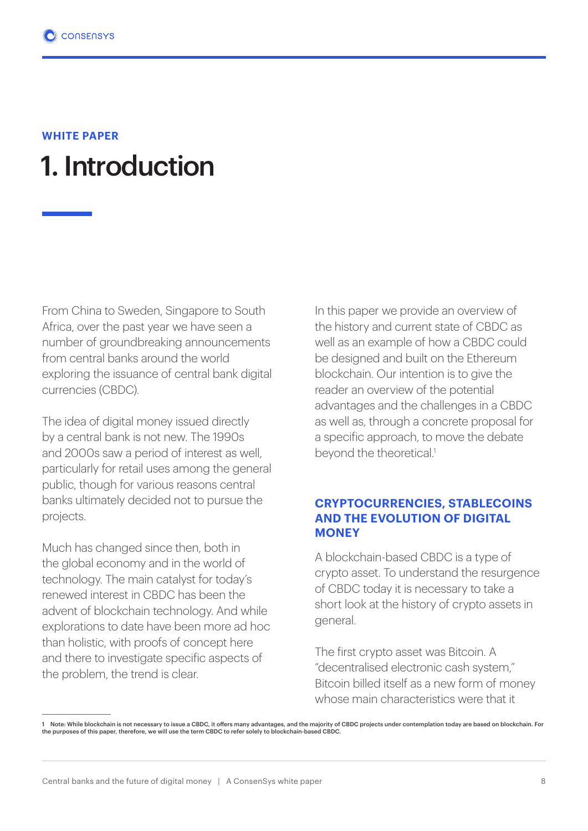### 1. Introduction

From China to Sweden, Singapore to South Africa, over the past year we have seen a number of groundbreaking announcements from central banks around the world exploring the issuance of central bank digital currencies (CBDC).

The idea of digital money issued directly by a central bank is not new. The 1990s and 2000s saw a period of interest as well, particularly for retail uses among the general public, though for various reasons central banks ultimately decided not to pursue the projects.

Much has changed since then, both in the global economy and in the world of technology. The main catalyst for today's renewed interest in CBDC has been the advent of blockchain technology. And while explorations to date have been more ad hoc than holistic, with proofs of concept here and there to investigate specific aspects of the problem, the trend is clear.

In this paper we provide an overview of the history and current state of CBDC as well as an example of how a CBDC could be designed and built on the Ethereum blockchain. Our intention is to give the reader an overview of the potential advantages and the challenges in a CBDC as well as, through a concrete proposal for a specific approach, to move the debate beyond the theoretical.<sup>1</sup>

#### **CRYPTOCURRENCIES, STABLECOINS AND THE EVOLUTION OF DIGITAL MONEY**

A blockchain-based CBDC is a type of crypto asset. To understand the resurgence of CBDC today it is necessary to take a short look at the history of crypto assets in general.

The first crypto asset was Bitcoin. A "decentralised electronic cash system," Bitcoin billed itself as a new form of money whose main characteristics were that it

<sup>1</sup> Note: While blockchain is not necessary to issue a CBDC, it offers many advantages, and the majority of CBDC projects under contemplation today are based on blockchain. For<br>the purposes of this paper, therefore, we wi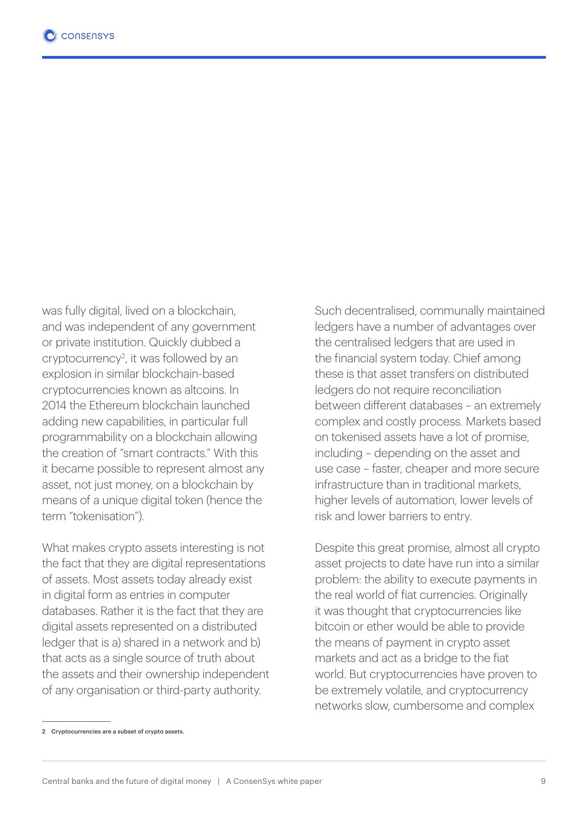was fully digital, lived on a blockchain, and was independent of any government or private institution. Quickly dubbed a cryptocurrency2 , it was followed by an explosion in similar blockchain-based cryptocurrencies known as altcoins. In 2014 the Ethereum blockchain launched adding new capabilities, in particular full programmability on a blockchain allowing the creation of "smart contracts." With this it became possible to represent almost any asset, not just money, on a blockchain by means of a unique digital token (hence the term "tokenisation").

What makes crypto assets interesting is not the fact that they are digital representations of assets. Most assets today already exist in digital form as entries in computer databases. Rather it is the fact that they are digital assets represented on a distributed ledger that is a) shared in a network and b) that acts as a single source of truth about the assets and their ownership independent of any organisation or third-party authority.

Such decentralised, communally maintained ledgers have a number of advantages over the centralised ledgers that are used in the financial system today. Chief among these is that asset transfers on distributed ledgers do not require reconciliation between different databases – an extremely complex and costly process. Markets based on tokenised assets have a lot of promise, including – depending on the asset and use case – faster, cheaper and more secure infrastructure than in traditional markets, higher levels of automation, lower levels of risk and lower barriers to entry.

Despite this great promise, almost all crypto asset projects to date have run into a similar problem: the ability to execute payments in the real world of fiat currencies. Originally it was thought that cryptocurrencies like bitcoin or ether would be able to provide the means of payment in crypto asset markets and act as a bridge to the fiat world. But cryptocurrencies have proven to be extremely volatile, and cryptocurrency networks slow, cumbersome and complex

<sup>2</sup> Cryptocurrencies are a subset of crypto assets.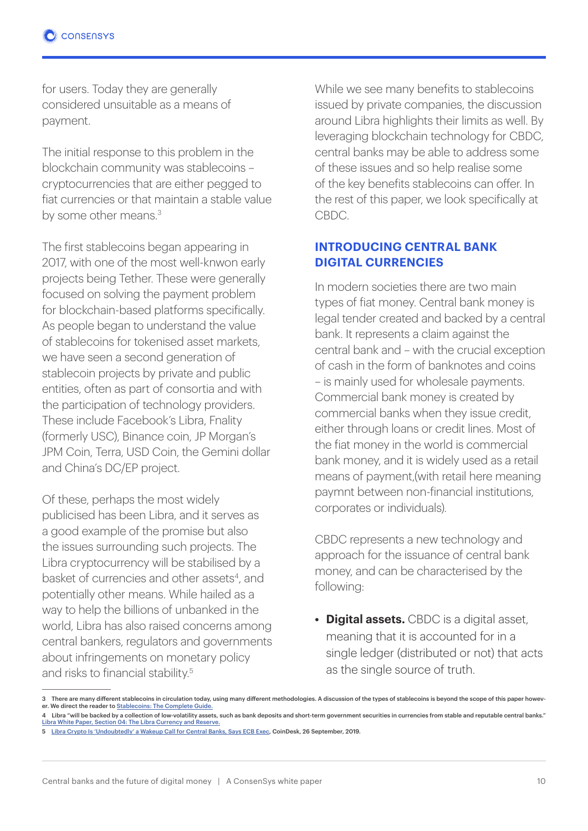for users. Today they are generally considered unsuitable as a means of payment.

The initial response to this problem in the blockchain community was stablecoins – cryptocurrencies that are either pegged to fiat currencies or that maintain a stable value by some other means.<sup>3</sup>

The first stablecoins began appearing in 2017, with one of the most well-knwon early projects being Tether. These were generally focused on solving the payment problem for blockchain-based platforms specifically. As people began to understand the value of stablecoins for tokenised asset markets, we have seen a second generation of stablecoin projects by private and public entities, often as part of consortia and with the participation of technology providers. These include Facebook's Libra, Fnality (formerly USC), Binance coin, JP Morgan's JPM Coin, Terra, USD Coin, the Gemini dollar and China's DC/EP project.

Of these, perhaps the most widely publicised has been Libra, and it serves as a good example of the promise but also the issues surrounding such projects. The Libra cryptocurrency will be stabilised by a basket of currencies and other assets<sup>4</sup>, and potentially other means. While hailed as a way to help the billions of unbanked in the world, Libra has also raised concerns among central bankers, regulators and governments about infringements on monetary policy and risks to financial stability.5

While we see many benefits to stablecoins issued by private companies, the discussion around Libra highlights their limits as well. By leveraging blockchain technology for CBDC, central banks may be able to address some of these issues and so help realise some of the key benefits stablecoins can offer. In the rest of this paper, we look specifically at CBDC.

#### **INTRODUCING CENTRAL BANK DIGITAL CURRENCIES**

In modern societies there are two main types of fiat money. Central bank money is legal tender created and backed by a central bank. It represents a claim against the central bank and – with the crucial exception of cash in the form of banknotes and coins – is mainly used for wholesale payments. Commercial bank money is created by commercial banks when they issue credit, either through loans or credit lines. Most of the fiat money in the world is commercial bank money, and it is widely used as a retail means of payment,(with retail here meaning paymnt between non-financial institutions, corporates or individuals).

CBDC represents a new technology and approach for the issuance of central bank money, and can be characterised by the following:

**• Digital assets.** CBDC is a digital asset, meaning that it is accounted for in a single ledger (distributed or not) that acts as the single source of truth.

<sup>3</sup> There are many different stablecoins in circulation today, using many different methodologies. A discussion of the types of stablecoins is beyond the scope of this paper however. We direct the reader to Stablecoins: The Complete Guide.

<sup>4</sup> Libra "will be backed by a collection of low-volatility assets, such as bank deposits and short-term government securities in currencies from stable and reputable central banks." Libra White Paper, Section 04: The Libra Currency and Reserve.

<sup>5</sup> Libra Crypto Is 'Undoubtedly' a Wakeup Call for Central Banks, Says ECB Exec, CoinDesk, 26 September, 2019.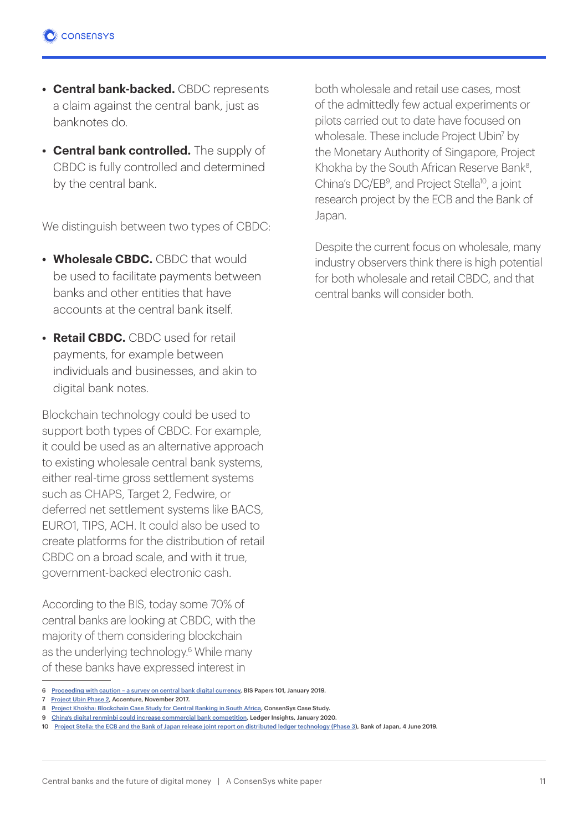- **• Central bank-backed.** CBDC represents a claim against the central bank, just as banknotes do.
- **• Central bank controlled.** The supply of CBDC is fully controlled and determined by the central bank.

We distinguish between two types of CBDC:

- **• Wholesale CBDC.** CBDC that would be used to facilitate payments between banks and other entities that have accounts at the central bank itself.
- **• Retail CBDC.** CBDC used for retail payments, for example between individuals and businesses, and akin to digital bank notes.

Blockchain technology could be used to support both types of CBDC. For example, it could be used as an alternative approach to existing wholesale central bank systems, either real-time gross settlement systems such as CHAPS, Target 2, Fedwire, or deferred net settlement systems like BACS, EURO1, TIPS, ACH. It could also be used to create platforms for the distribution of retail CBDC on a broad scale, and with it true, government-backed electronic cash.

According to the BIS, today some 70% of central banks are looking at CBDC, with the majority of them considering blockchain as the underlying technology.<sup>6</sup> While many of these banks have expressed interest in

both wholesale and retail use cases, most of the admittedly few actual experiments or pilots carried out to date have focused on wholesale. These include Project Ubin<sup>7</sup> by the Monetary Authority of Singapore, Project Khokha by the South African Reserve Bank<sup>8</sup>. China's DC/EB<sup>9</sup>, and Project Stella<sup>10</sup>, a joint research project by the ECB and the Bank of Japan.

Despite the current focus on wholesale, many industry observers think there is high potential for both wholesale and retail CBDC, and that central banks will consider both.

<sup>6</sup> Proceeding with caution – a survey on central bank digital currency, BIS Papers 101, January 2019.

<sup>7</sup> Project Ubin Phase 2, Accenture, November 2017.

<sup>8</sup> Project Khokha: Blockchain Case Study for Central Banking in South Africa, ConsenSys Case Study.

<sup>9</sup> China's digital renminbi could increase commercial bank competition, Ledger Insights, January 2020.

<sup>10</sup> Project Stella: the ECB and the Bank of Japan release joint report on distributed ledger technology (Phase 3), Bank of Japan, 4 June 2019.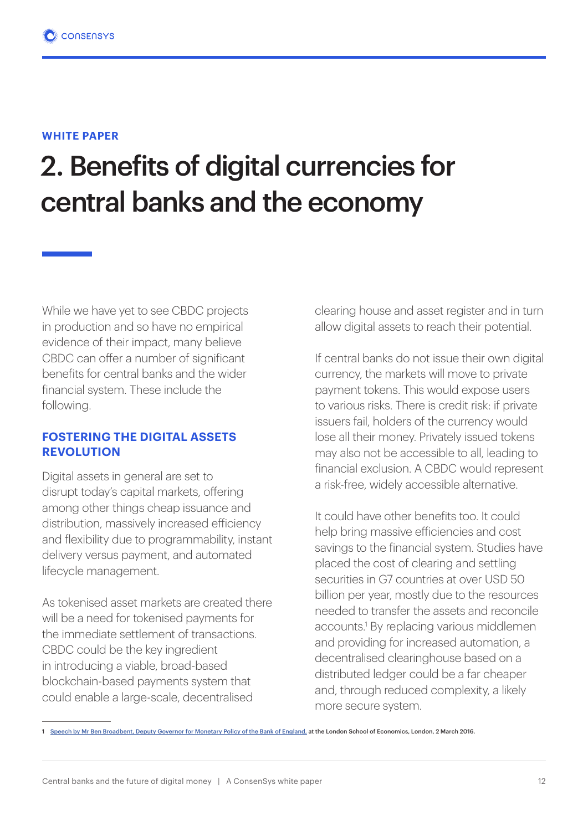# 2. Benefits of digital currencies for central banks and the economy

While we have yet to see CBDC projects in production and so have no empirical evidence of their impact, many believe CBDC can offer a number of significant benefits for central banks and the wider financial system. These include the following.

#### **FOSTERING THE DIGITAL ASSETS REVOLUTION**

Digital assets in general are set to disrupt today's capital markets, offering among other things cheap issuance and distribution, massively increased efficiency and flexibility due to programmability, instant delivery versus payment, and automated lifecycle management.

As tokenised asset markets are created there will be a need for tokenised payments for the immediate settlement of transactions. CBDC could be the key ingredient in introducing a viable, broad-based blockchain-based payments system that could enable a large-scale, decentralised

clearing house and asset register and in turn allow digital assets to reach their potential.

If central banks do not issue their own digital currency, the markets will move to private payment tokens. This would expose users to various risks. There is credit risk: if private issuers fail, holders of the currency would lose all their money. Privately issued tokens may also not be accessible to all, leading to financial exclusion. A CBDC would represent a risk-free, widely accessible alternative.

It could have other benefits too. It could help bring massive efficiencies and cost savings to the financial system. Studies have placed the cost of clearing and settling securities in G7 countries at over USD 50 billion per year, mostly due to the resources needed to transfer the assets and reconcile accounts.<sup>1</sup> By replacing various middlemen and providing for increased automation, a decentralised clearinghouse based on a distributed ledger could be a far cheaper and, through reduced complexity, a likely more secure system.

<sup>1</sup> Speech by Mr Ben Broadbent, Deputy Governor for Monetary Policy of the Bank of England, at the London School of Economics, London, 2 March 2016.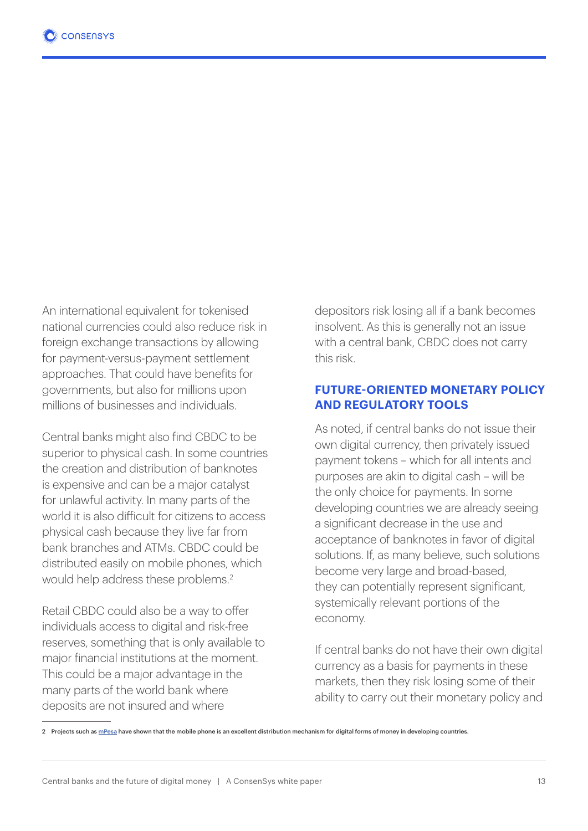An international equivalent for tokenised national currencies could also reduce risk in foreign exchange transactions by allowing for payment-versus-payment settlement approaches. That could have benefits for governments, but also for millions upon millions of businesses and individuals.

Central banks might also find CBDC to be superior to physical cash. In some countries the creation and distribution of banknotes is expensive and can be a major catalyst for unlawful activity. In many parts of the world it is also difficult for citizens to access physical cash because they live far from bank branches and ATMs. CBDC could be distributed easily on mobile phones, which would help address these problems.2

Retail CBDC could also be a way to offer individuals access to digital and risk-free reserves, something that is only available to major financial institutions at the moment. This could be a major advantage in the many parts of the world bank where deposits are not insured and where

depositors risk losing all if a bank becomes insolvent. As this is generally not an issue with a central bank, CBDC does not carry this risk.

#### **FUTURE-ORIENTED MONETARY POLICY AND REGULATORY TOOLS**

As noted, if central banks do not issue their own digital currency, then privately issued payment tokens – which for all intents and purposes are akin to digital cash – will be the only choice for payments. In some developing countries we are already seeing a significant decrease in the use and acceptance of banknotes in favor of digital solutions. If, as many believe, such solutions become very large and broad-based, they can potentially represent significant, systemically relevant portions of the economy.

If central banks do not have their own digital currency as a basis for payments in these markets, then they risk losing some of their ability to carry out their monetary policy and

<sup>2</sup> Projects such as mPesa have shown that the mobile phone is an excellent distribution mechanism for digital forms of money in developing countries.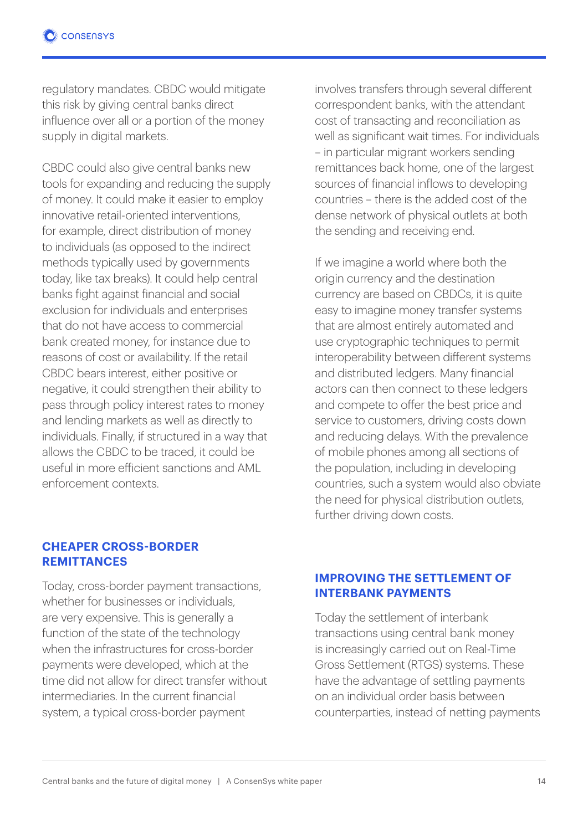regulatory mandates. CBDC would mitigate this risk by giving central banks direct influence over all or a portion of the money supply in digital markets.

CBDC could also give central banks new tools for expanding and reducing the supply of money. It could make it easier to employ innovative retail-oriented interventions, for example, direct distribution of money to individuals (as opposed to the indirect methods typically used by governments today, like tax breaks). It could help central banks fight against financial and social exclusion for individuals and enterprises that do not have access to commercial bank created money, for instance due to reasons of cost or availability. If the retail CBDC bears interest, either positive or negative, it could strengthen their ability to pass through policy interest rates to money and lending markets as well as directly to individuals. Finally, if structured in a way that allows the CBDC to be traced, it could be useful in more efficient sanctions and AML enforcement contexts.

involves transfers through several different correspondent banks, with the attendant cost of transacting and reconciliation as well as significant wait times. For individuals – in particular migrant workers sending remittances back home, one of the largest sources of financial inflows to developing countries – there is the added cost of the dense network of physical outlets at both the sending and receiving end.

If we imagine a world where both the origin currency and the destination currency are based on CBDCs, it is quite easy to imagine money transfer systems that are almost entirely automated and use cryptographic techniques to permit interoperability between different systems and distributed ledgers. Many financial actors can then connect to these ledgers and compete to offer the best price and service to customers, driving costs down and reducing delays. With the prevalence of mobile phones among all sections of the population, including in developing countries, such a system would also obviate the need for physical distribution outlets, further driving down costs.

#### **CHEAPER CROSS-BORDER REMITTANCES**

Today, cross-border payment transactions, whether for businesses or individuals are very expensive. This is generally a function of the state of the technology when the infrastructures for cross-border payments were developed, which at the time did not allow for direct transfer without intermediaries. In the current financial system, a typical cross-border payment

#### **IMPROVING THE SETTLEMENT OF INTERBANK PAYMENTS**

Today the settlement of interbank transactions using central bank money is increasingly carried out on Real-Time Gross Settlement (RTGS) systems. These have the advantage of settling payments on an individual order basis between counterparties, instead of netting payments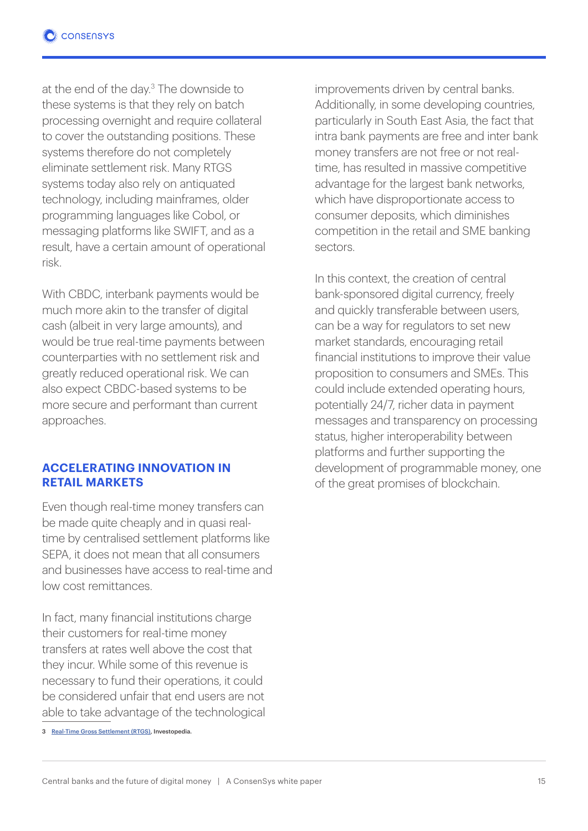at the end of the day.3 The downside to these systems is that they rely on batch processing overnight and require collateral to cover the outstanding positions. These systems therefore do not completely eliminate settlement risk. Many RTGS systems today also rely on antiquated technology, including mainframes, older programming languages like Cobol, or messaging platforms like SWIFT, and as a result, have a certain amount of operational risk.

With CBDC, interbank payments would be much more akin to the transfer of digital cash (albeit in very large amounts), and would be true real-time payments between counterparties with no settlement risk and greatly reduced operational risk. We can also expect CBDC-based systems to be more secure and performant than current approaches.

#### **ACCELERATING INNOVATION IN RETAIL MARKETS**

Even though real-time money transfers can be made quite cheaply and in quasi realtime by centralised settlement platforms like SEPA, it does not mean that all consumers and businesses have access to real-time and low cost remittances.

In fact, many financial institutions charge their customers for real-time money transfers at rates well above the cost that they incur. While some of this revenue is necessary to fund their operations, it could be considered unfair that end users are not able to take advantage of the technological improvements driven by central banks. Additionally, in some developing countries. particularly in South East Asia, the fact that intra bank payments are free and inter bank money transfers are not free or not realtime, has resulted in massive competitive advantage for the largest bank networks, which have disproportionate access to consumer deposits, which diminishes competition in the retail and SME banking sectors.

In this context, the creation of central bank-sponsored digital currency, freely and quickly transferable between users, can be a way for regulators to set new market standards, encouraging retail financial institutions to improve their value proposition to consumers and SMEs. This could include extended operating hours, potentially 24/7, richer data in payment messages and transparency on processing status, higher interoperability between platforms and further supporting the development of programmable money, one of the great promises of blockchain.

<sup>3</sup> Real-Time Gross Settlement (RTGS), Investopedia.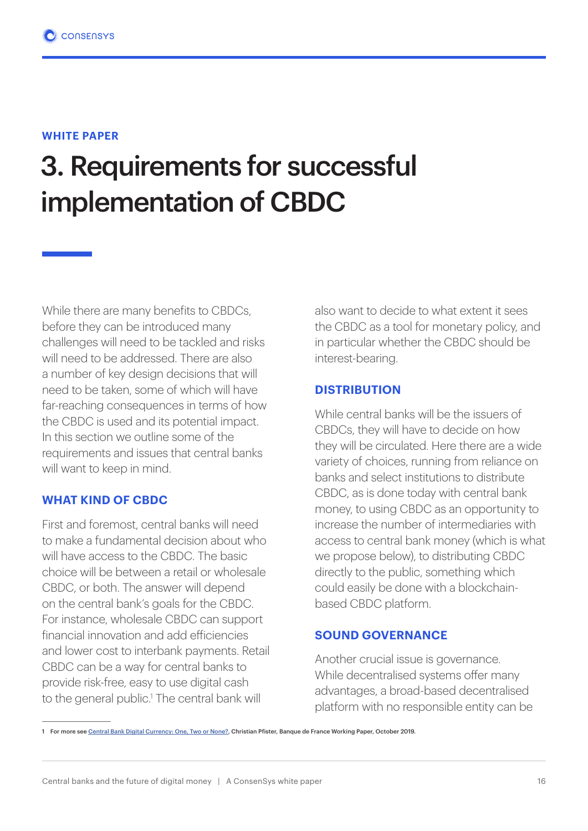## 3. Requirements for successful implementation of CBDC

While there are many benefits to CBDCs, before they can be introduced many challenges will need to be tackled and risks will need to be addressed. There are also a number of key design decisions that will need to be taken, some of which will have far-reaching consequences in terms of how the CBDC is used and its potential impact. In this section we outline some of the requirements and issues that central banks will want to keep in mind.

#### **WHAT KIND OF CBDC**

First and foremost, central banks will need to make a fundamental decision about who will have access to the CBDC. The basic choice will be between a retail or wholesale CBDC, or both. The answer will depend on the central bank's goals for the CBDC. For instance, wholesale CBDC can support financial innovation and add efficiencies and lower cost to interbank payments. Retail CBDC can be a way for central banks to provide risk-free, easy to use digital cash to the general public.<sup>1</sup> The central bank will

also want to decide to what extent it sees the CBDC as a tool for monetary policy, and in particular whether the CBDC should be interest-bearing.

#### **DISTRIBUTION**

While central banks will be the issuers of CBDCs, they will have to decide on how they will be circulated. Here there are a wide variety of choices, running from reliance on banks and select institutions to distribute CBDC, as is done today with central bank money, to using CBDC as an opportunity to increase the number of intermediaries with access to central bank money (which is what we propose below), to distributing CBDC directly to the public, something which could easily be done with a blockchainbased CBDC platform.

#### **SOUND GOVERNANCE**

Another crucial issue is governance. While decentralised systems offer many advantages, a broad-based decentralised platform with no responsible entity can be

<sup>1</sup> For more see Central Bank Digital Currency: One, Two or None?, Christian Pfister, Banque de France Working Paper, October 2019.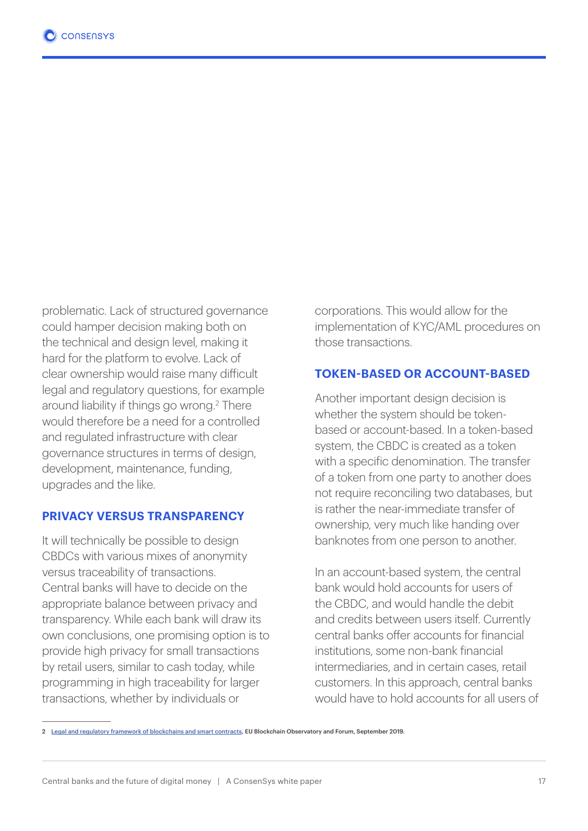problematic. Lack of structured governance could hamper decision making both on the technical and design level, making it hard for the platform to evolve. Lack of clear ownership would raise many difficult legal and regulatory questions, for example around liability if things go wrong.<sup>2</sup> There would therefore be a need for a controlled and regulated infrastructure with clear governance structures in terms of design, development, maintenance, funding, upgrades and the like.

#### **PRIVACY VERSUS TRANSPARENCY**

It will technically be possible to design CBDCs with various mixes of anonymity versus traceability of transactions. Central banks will have to decide on the appropriate balance between privacy and transparency. While each bank will draw its own conclusions, one promising option is to provide high privacy for small transactions by retail users, similar to cash today, while programming in high traceability for larger transactions, whether by individuals or

corporations. This would allow for the implementation of KYC/AML procedures on those transactions.

#### **TOKEN-BASED OR ACCOUNT-BASED**

Another important design decision is whether the system should be tokenbased or account-based. In a token-based system, the CBDC is created as a token with a specific denomination. The transfer of a token from one party to another does not require reconciling two databases, but is rather the near-immediate transfer of ownership, very much like handing over banknotes from one person to another.

In an account-based system, the central bank would hold accounts for users of the CBDC, and would handle the debit and credits between users itself. Currently central banks offer accounts for financial institutions, some non-bank financial intermediaries, and in certain cases, retail customers. In this approach, central banks would have to hold accounts for all users of

<sup>2</sup> Legal and regulatory framework of blockchains and smart contracts, EU Blockchain Observatory and Forum, September 2019.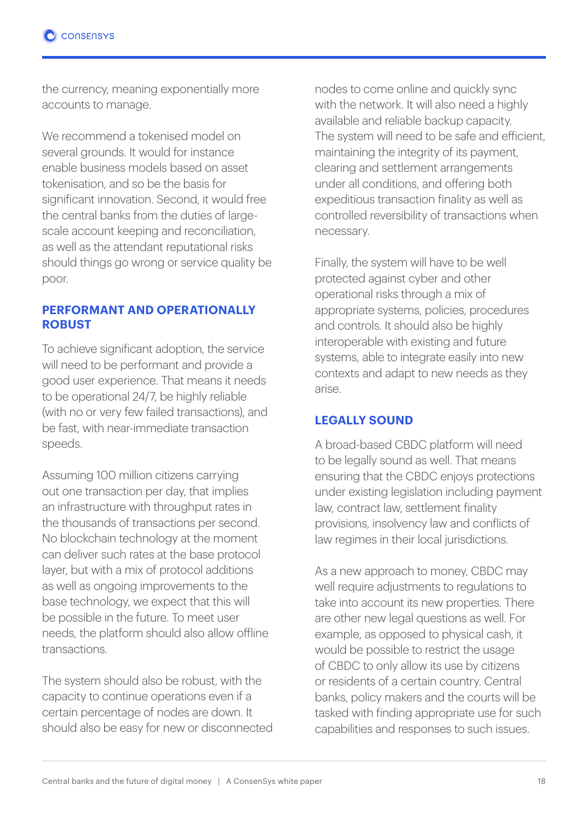the currency, meaning exponentially more accounts to manage.

We recommend a tokenised model on several grounds. It would for instance enable business models based on asset tokenisation, and so be the basis for significant innovation. Second, it would free the central banks from the duties of largescale account keeping and reconciliation, as well as the attendant reputational risks should things go wrong or service quality be poor.

#### **PERFORMANT AND OPERATIONALLY ROBUST**

To achieve significant adoption, the service will need to be performant and provide a good user experience. That means it needs to be operational 24/7, be highly reliable (with no or very few failed transactions), and be fast, with near-immediate transaction speeds.

Assuming 100 million citizens carrying out one transaction per day, that implies an infrastructure with throughput rates in the thousands of transactions per second. No blockchain technology at the moment can deliver such rates at the base protocol layer, but with a mix of protocol additions as well as ongoing improvements to the base technology, we expect that this will be possible in the future. To meet user needs, the platform should also allow offline transactions.

The system should also be robust, with the capacity to continue operations even if a certain percentage of nodes are down. It should also be easy for new or disconnected nodes to come online and quickly sync with the network. It will also need a highly available and reliable backup capacity. The system will need to be safe and efficient, maintaining the integrity of its payment, clearing and settlement arrangements under all conditions, and offering both expeditious transaction finality as well as controlled reversibility of transactions when necessary.

Finally, the system will have to be well protected against cyber and other operational risks through a mix of appropriate systems, policies, procedures and controls. It should also be highly interoperable with existing and future systems, able to integrate easily into new contexts and adapt to new needs as they arise.

#### **LEGALLY SOUND**

A broad-based CBDC platform will need to be legally sound as well. That means ensuring that the CBDC enjoys protections under existing legislation including payment law, contract law, settlement finality provisions, insolvency law and conflicts of law regimes in their local jurisdictions.

As a new approach to money, CBDC may well require adjustments to regulations to take into account its new properties. There are other new legal questions as well. For example, as opposed to physical cash, it would be possible to restrict the usage of CBDC to only allow its use by citizens or residents of a certain country. Central banks, policy makers and the courts will be tasked with finding appropriate use for such capabilities and responses to such issues.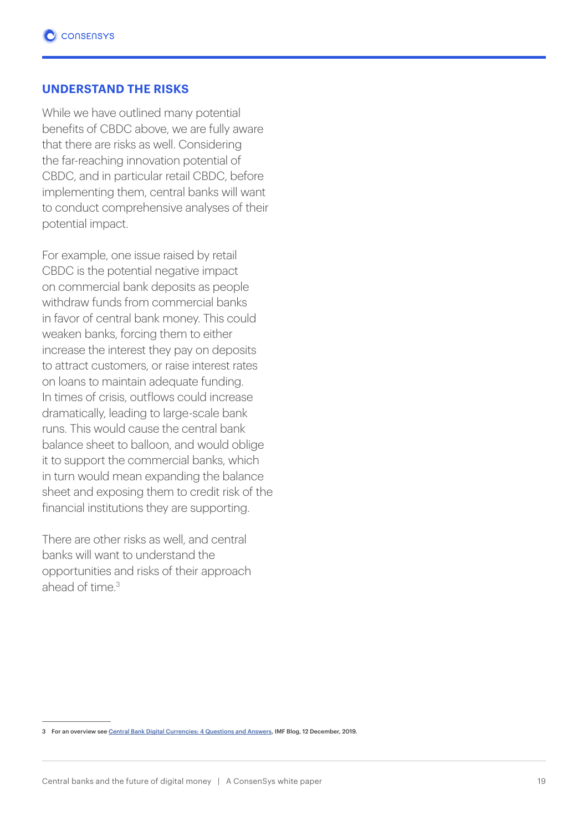#### **UNDERSTAND THE RISKS**

While we have outlined many potential benefits of CBDC above, we are fully aware that there are risks as well. Considering the far-reaching innovation potential of CBDC, and in particular retail CBDC, before implementing them, central banks will want to conduct comprehensive analyses of their potential impact.

For example, one issue raised by retail CBDC is the potential negative impact on commercial bank deposits as people withdraw funds from commercial banks in favor of central bank money. This could weaken banks, forcing them to either increase the interest they pay on deposits to attract customers, or raise interest rates on loans to maintain adequate funding. In times of crisis, outflows could increase dramatically, leading to large-scale bank runs. This would cause the central bank balance sheet to balloon, and would oblige it to support the commercial banks, which in turn would mean expanding the balance sheet and exposing them to credit risk of the financial institutions they are supporting.

There are other risks as well, and central banks will want to understand the opportunities and risks of their approach ahead of time  $3$ 

<sup>3</sup> For an overview see Central Bank Digital Currencies: 4 Questions and Answers, IMF Blog, 12 December, 2019.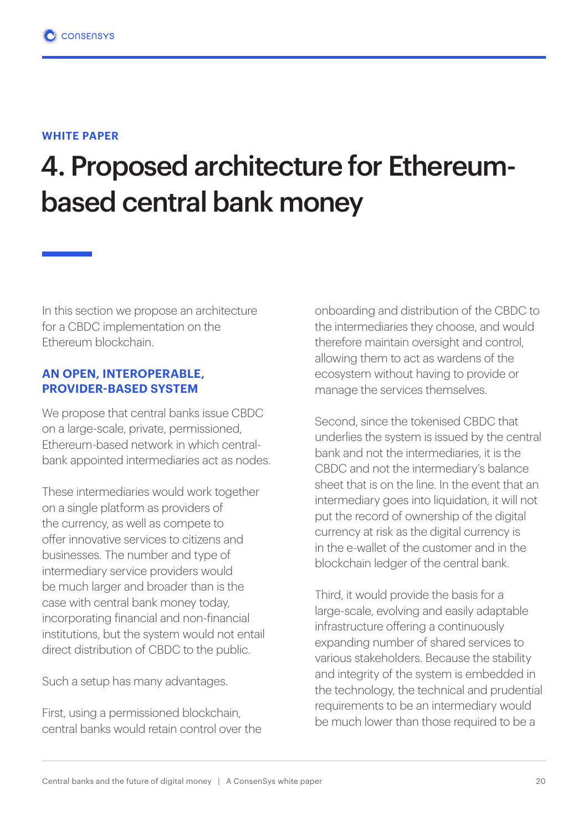# 4. Proposed architecture for Ethereumbased central bank money

In this section we propose an architecture for a CBDC implementation on the Ethereum blockchain.

#### **AN OPEN, INTEROPERABLE, PROVIDER-BASED SYSTEM**

We propose that central banks issue CBDC on a large-scale, private, permissioned, Ethereum-based network in which centralbank appointed intermediaries act as nodes.

These intermediaries would work together on a single platform as providers of the currency, as well as compete to offer innovative services to citizens and businesses. The number and type of intermediary service providers would be much larger and broader than is the case with central bank money today, incorporating financial and non-financial institutions, but the system would not entail direct distribution of CBDC to the public.

Such a setup has many advantages.

First, using a permissioned blockchain, central banks would retain control over the onboarding and distribution of the CBDC to the intermediaries they choose, and would therefore maintain oversight and control, allowing them to act as wardens of the ecosystem without having to provide or manage the services themselves.

Second, since the tokenised CBDC that underlies the system is issued by the central bank and not the intermediaries, it is the CBDC and not the intermediary's balance sheet that is on the line. In the event that an intermediary goes into liquidation, it will not put the record of ownership of the digital currency at risk as the digital currency is in the e-wallet of the customer and in the blockchain ledger of the central bank.

Third, it would provide the basis for a large-scale, evolving and easily adaptable infrastructure offering a continuously expanding number of shared services to various stakeholders. Because the stability and integrity of the system is embedded in the technology, the technical and prudential requirements to be an intermediary would be much lower than those required to be a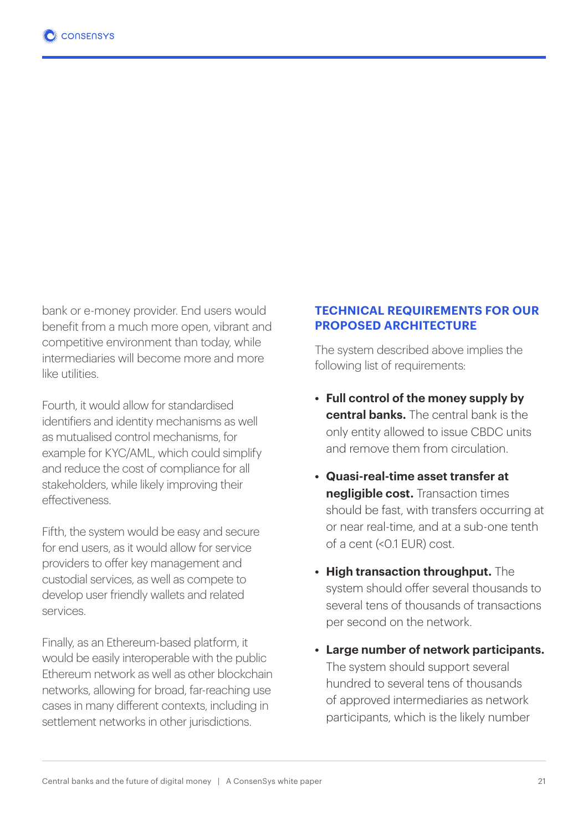bank or e-money provider. End users would benefit from a much more open, vibrant and competitive environment than today, while intermediaries will become more and more like utilities.

Fourth, it would allow for standardised identifiers and identity mechanisms as well as mutualised control mechanisms, for example for KYC/AML, which could simplify and reduce the cost of compliance for all stakeholders, while likely improving their effectiveness.

Fifth, the system would be easy and secure for end users, as it would allow for service providers to offer key management and custodial services, as well as compete to develop user friendly wallets and related services.

Finally, as an Ethereum-based platform, it would be easily interoperable with the public Ethereum network as well as other blockchain networks, allowing for broad, far-reaching use cases in many different contexts, including in settlement networks in other jurisdictions.

#### **TECHNICAL REQUIREMENTS FOR OUR PROPOSED ARCHITECTURE**

The system described above implies the following list of requirements:

- **• Full control of the money supply by central banks.** The central bank is the only entity allowed to issue CBDC units and remove them from circulation.
- **• Quasi-real-time asset transfer at negligible cost.** Transaction times should be fast, with transfers occurring at or near real-time, and at a sub-one tenth of a cent (<0.1 EUR) cost.
- **• High transaction throughput.** The system should offer several thousands to several tens of thousands of transactions per second on the network.
- **• Large number of network participants.** The system should support several hundred to several tens of thousands of approved intermediaries as network participants, which is the likely number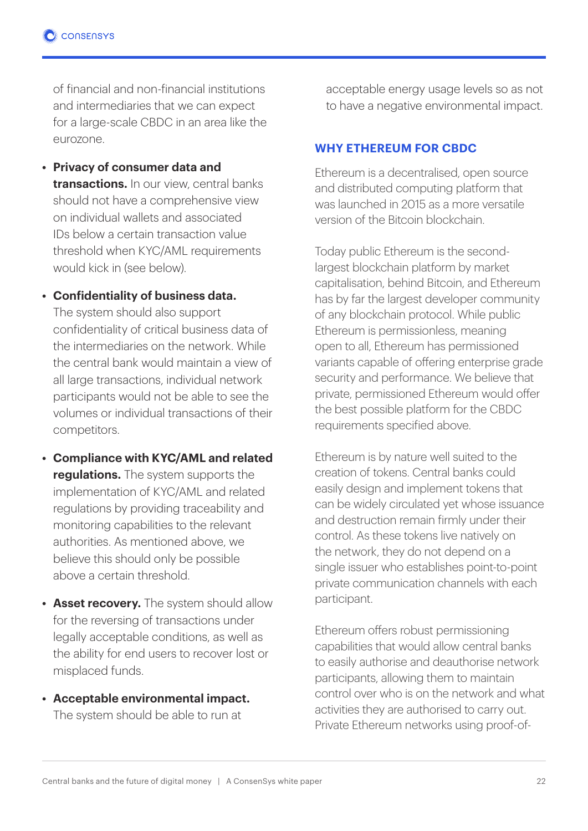of financial and non-financial institutions and intermediaries that we can expect for a large-scale CBDC in an area like the eurozone.

- **• Privacy of consumer data and transactions.** In our view, central banks should not have a comprehensive view on individual wallets and associated IDs below a certain transaction value threshold when KYC/AML requirements would kick in (see below).
- **• Confidentiality of business data.**

The system should also support confidentiality of critical business data of the intermediaries on the network. While the central bank would maintain a view of all large transactions, individual network participants would not be able to see the volumes or individual transactions of their competitors.

- **• Compliance with KYC/AML and related regulations.** The system supports the implementation of KYC/AML and related regulations by providing traceability and monitoring capabilities to the relevant authorities. As mentioned above, we believe this should only be possible above a certain threshold.
- **• Asset recovery.** The system should allow for the reversing of transactions under legally acceptable conditions, as well as the ability for end users to recover lost or misplaced funds.
- **• Acceptable environmental impact.** The system should be able to run at

acceptable energy usage levels so as not to have a negative environmental impact.

#### **WHY ETHEREUM FOR CBDC**

Ethereum is a decentralised, open source and distributed computing platform that was launched in 2015 as a more versatile version of the Bitcoin blockchain.

Today public Ethereum is the secondlargest blockchain platform by market capitalisation, behind Bitcoin, and Ethereum has by far the largest developer community of any blockchain protocol. While public Ethereum is permissionless, meaning open to all, Ethereum has permissioned variants capable of offering enterprise grade security and performance. We believe that private, permissioned Ethereum would offer the best possible platform for the CBDC requirements specified above.

Ethereum is by nature well suited to the creation of tokens. Central banks could easily design and implement tokens that can be widely circulated yet whose issuance and destruction remain firmly under their control. As these tokens live natively on the network, they do not depend on a single issuer who establishes point-to-point private communication channels with each participant.

Ethereum offers robust permissioning capabilities that would allow central banks to easily authorise and deauthorise network participants, allowing them to maintain control over who is on the network and what activities they are authorised to carry out. Private Ethereum networks using proof-of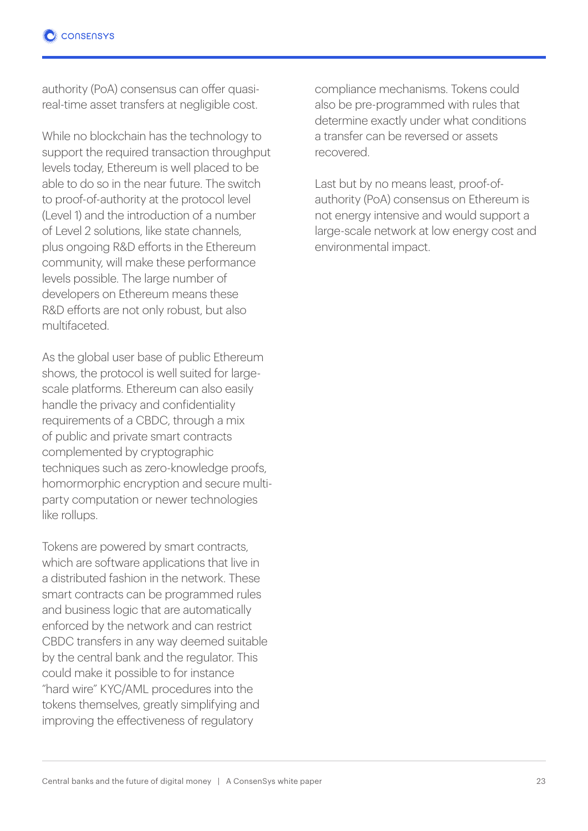authority (PoA) consensus can offer quasireal-time asset transfers at negligible cost.

While no blockchain has the technology to support the required transaction throughput levels today, Ethereum is well placed to be able to do so in the near future. The switch to proof-of-authority at the protocol level (Level 1) and the introduction of a number of Level 2 solutions, like state channels, plus ongoing R&D efforts in the Ethereum community, will make these performance levels possible. The large number of developers on Ethereum means these R&D efforts are not only robust, but also multifaceted.

As the global user base of public Ethereum shows, the protocol is well suited for largescale platforms. Ethereum can also easily handle the privacy and confidentiality requirements of a CBDC, through a mix of public and private smart contracts complemented by cryptographic techniques such as zero-knowledge proofs, homormorphic encryption and secure multiparty computation or newer technologies like rollups.

Tokens are powered by smart contracts, which are software applications that live in a distributed fashion in the network. These smart contracts can be programmed rules and business logic that are automatically enforced by the network and can restrict CBDC transfers in any way deemed suitable by the central bank and the regulator. This could make it possible to for instance "hard wire" KYC/AML procedures into the tokens themselves, greatly simplifying and improving the effectiveness of regulatory

compliance mechanisms. Tokens could also be pre-programmed with rules that determine exactly under what conditions a transfer can be reversed or assets recovered.

Last but by no means least, proof-ofauthority (PoA) consensus on Ethereum is not energy intensive and would support a large-scale network at low energy cost and environmental impact.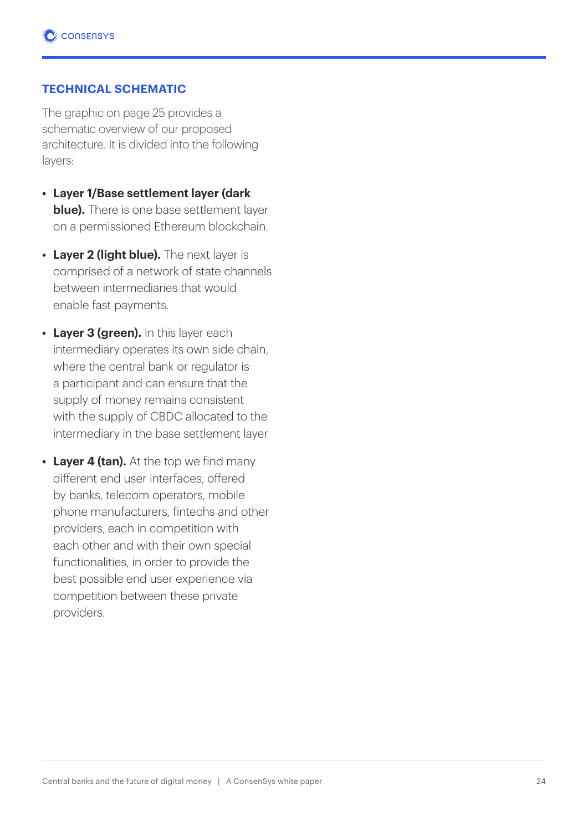#### **TECHNICAL SCHEMATIC**

The graphic on page 25 provides a schematic overview of our proposed architecture. It is divided into the following layers:

- **• Layer 1/Base settlement layer (dark blue).** There is one base settlement layer on a permissioned Ethereum blockchain.
- **• Layer 2 (light blue).** The next layer is comprised of a network of state channels between intermediaries that would enable fast payments.
- **• Layer 3 (green).** In this layer each intermediary operates its own side chain, where the central bank or regulator is a participant and can ensure that the supply of money remains consistent with the supply of CBDC allocated to the intermediary in the base settlement layer
- **• Layer 4 (tan).** At the top we find many different end user interfaces, offered by banks, telecom operators, mobile phone manufacturers, fintechs and other providers, each in competition with each other and with their own special functionalities, in order to provide the best possible end user experience via competition between these private providers.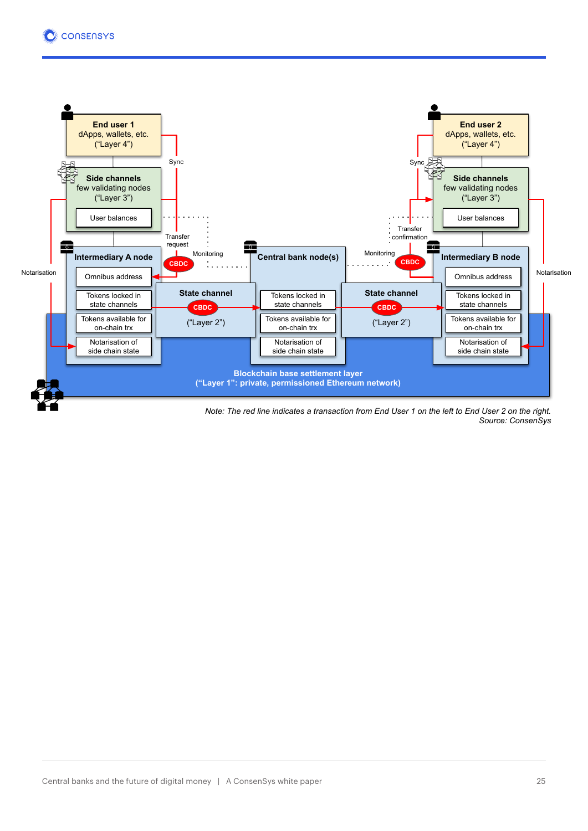

*Note: The red line indicates a transaction from End User 1 on the left to End User 2 on the right. Source: ConsenSys*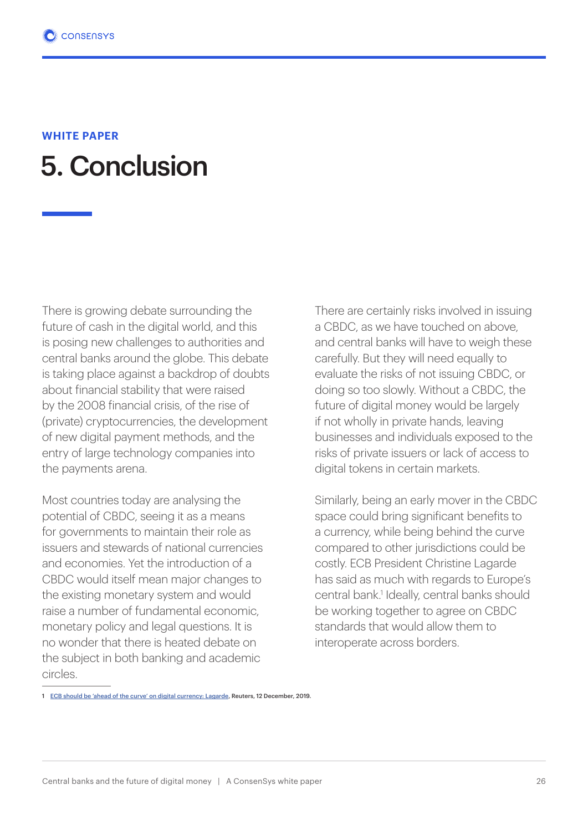### 5. Conclusion **WHITE PAPER**

There is growing debate surrounding the future of cash in the digital world, and this is posing new challenges to authorities and central banks around the globe. This debate is taking place against a backdrop of doubts about financial stability that were raised by the 2008 financial crisis, of the rise of (private) cryptocurrencies, the development of new digital payment methods, and the entry of large technology companies into the payments arena.

Most countries today are analysing the potential of CBDC, seeing it as a means for governments to maintain their role as issuers and stewards of national currencies and economies. Yet the introduction of a CBDC would itself mean major changes to the existing monetary system and would raise a number of fundamental economic, monetary policy and legal questions. It is no wonder that there is heated debate on the subject in both banking and academic circles.

There are certainly risks involved in issuing a CBDC, as we have touched on above, and central banks will have to weigh these carefully. But they will need equally to evaluate the risks of not issuing CBDC, or doing so too slowly. Without a CBDC, the future of digital money would be largely if not wholly in private hands, leaving businesses and individuals exposed to the risks of private issuers or lack of access to digital tokens in certain markets.

Similarly, being an early mover in the CBDC space could bring significant benefits to a currency, while being behind the curve compared to other jurisdictions could be costly. ECB President Christine Lagarde has said as much with regards to Europe's central bank.<sup>1</sup> Ideally, central banks should be working together to agree on CBDC standards that would allow them to interoperate across borders.

<sup>1</sup> ECB should be 'ahead of the curve' on digital currency: Lagarde, Reuters, 12 December, 2019.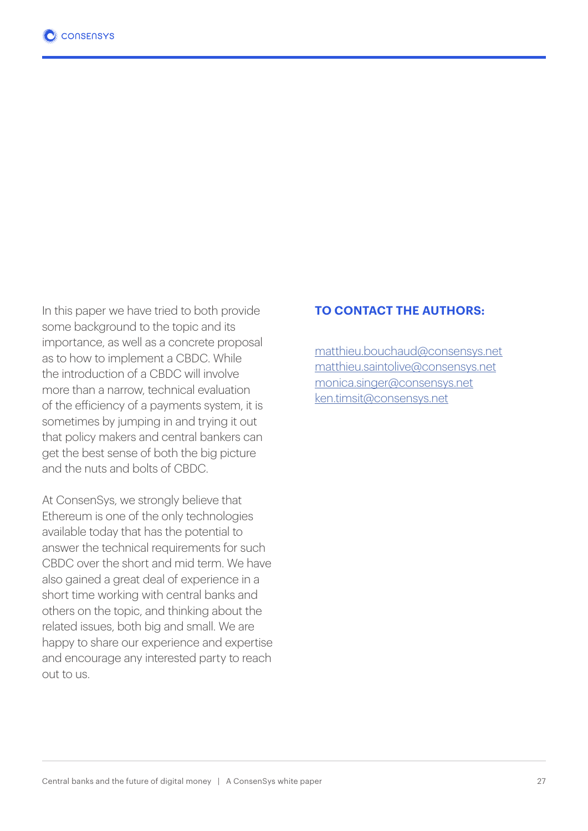In this paper we have tried to both provide some background to the topic and its importance, as well as a concrete proposal as to how to implement a CBDC. While the introduction of a CBDC will involve more than a narrow, technical evaluation of the efficiency of a payments system, it is sometimes by jumping in and trying it out that policy makers and central bankers can get the best sense of both the big picture and the nuts and bolts of CBDC.

At ConsenSys, we strongly believe that Ethereum is one of the only technologies available today that has the potential to answer the technical requirements for such CBDC over the short and mid term. We have also gained a great deal of experience in a short time working with central banks and others on the topic, and thinking about the related issues, both big and small. We are happy to share our experience and expertise and encourage any interested party to reach out to us.

#### **TO CONTACT THE AUTHORS:**

matthieu.bouchaud@consensys.net matthieu.saintolive@consensys.net monica.singer@consensys.net ken.timsit@consensys.net